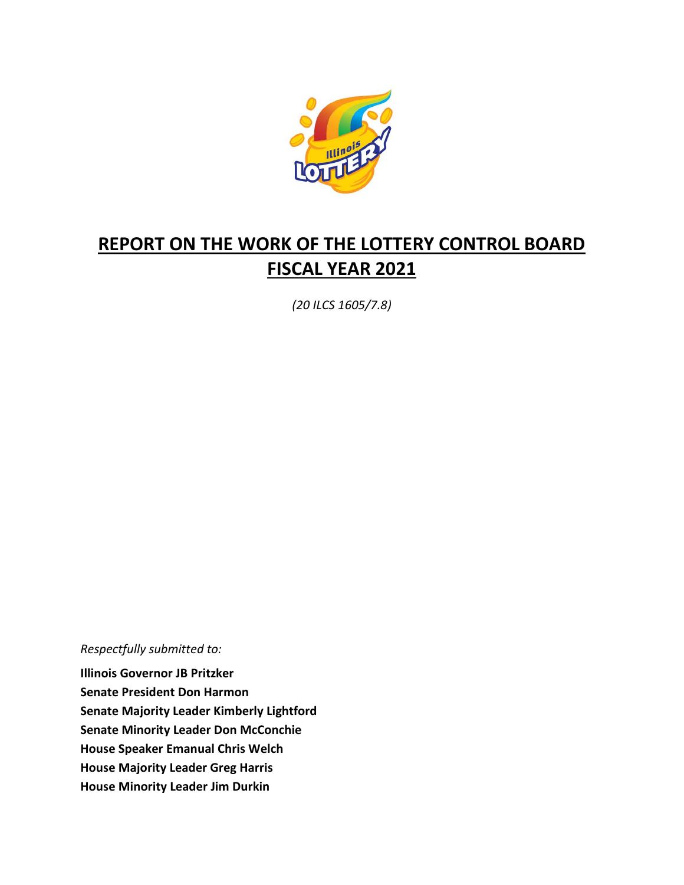

# **REPORT ON THE WORK OF THE LOTTERY CONTROL BOARD FISCAL YEAR 2021**

*(20 ILCS 1605/7.8)*

*Respectfully submitted to:* 

**Illinois Governor JB Pritzker Senate President Don Harmon Senate Majority Leader Kimberly Lightford Senate Minority Leader Don McConchie House Speaker Emanual Chris Welch House Majority Leader Greg Harris House Minority Leader Jim Durkin**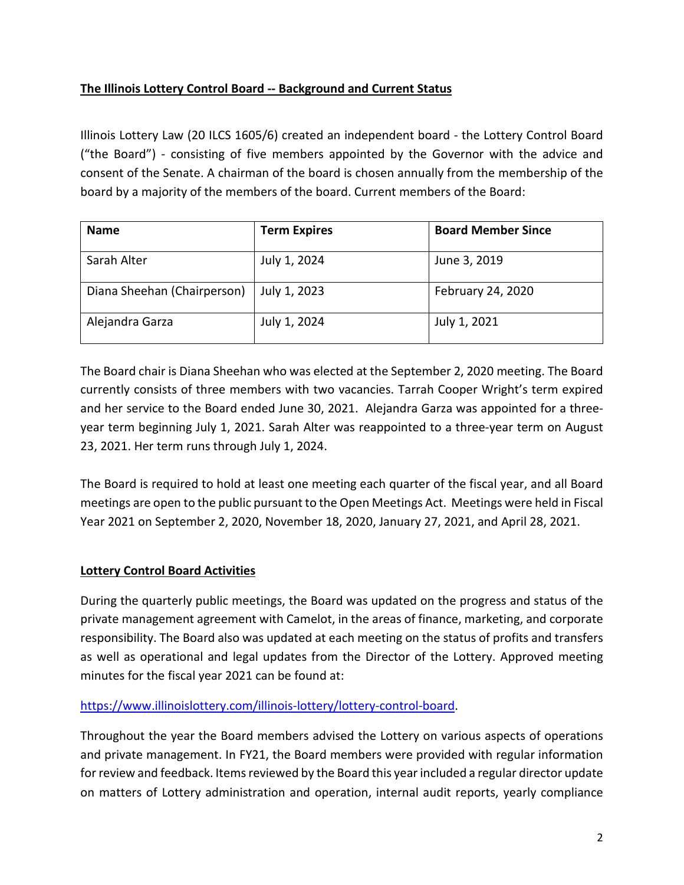# **The Illinois Lottery Control Board -- Background and Current Status**

Illinois Lottery Law (20 ILCS 1605/6) created an independent board - the Lottery Control Board ("the Board") - consisting of five members appointed by the Governor with the advice and consent of the Senate. A chairman of the board is chosen annually from the membership of the board by a majority of the members of the board. Current members of the Board:

| <b>Name</b>                 | <b>Term Expires</b> | <b>Board Member Since</b> |
|-----------------------------|---------------------|---------------------------|
| Sarah Alter                 | July 1, 2024        | June 3, 2019              |
| Diana Sheehan (Chairperson) | July 1, 2023        | February 24, 2020         |
| Alejandra Garza             | July 1, 2024        | July 1, 2021              |

The Board chair is Diana Sheehan who was elected at the September 2, 2020 meeting. The Board currently consists of three members with two vacancies. Tarrah Cooper Wright's term expired and her service to the Board ended June 30, 2021. Alejandra Garza was appointed for a threeyear term beginning July 1, 2021. Sarah Alter was reappointed to a three-year term on August 23, 2021. Her term runs through July 1, 2024.

The Board is required to hold at least one meeting each quarter of the fiscal year, and all Board meetings are open to the public pursuant to the Open Meetings Act. Meetings were held in Fiscal Year 2021 on September 2, 2020, November 18, 2020, January 27, 2021, and April 28, 2021.

# **Lottery Control Board Activities**

During the quarterly public meetings, the Board was updated on the progress and status of the private management agreement with Camelot, in the areas of finance, marketing, and corporate responsibility. The Board also was updated at each meeting on the status of profits and transfers as well as operational and legal updates from the Director of the Lottery. Approved meeting minutes for the fiscal year 2021 can be found at:

# [https://www.illinoislottery.com/illinois-lottery/lottery-control-board.](https://www.illinoislottery.com/illinois-lottery/lottery-control-board)

Throughout the year the Board members advised the Lottery on various aspects of operations and private management. In FY21, the Board members were provided with regular information for review and feedback. Items reviewed by the Board this year included a regular director update on matters of Lottery administration and operation, internal audit reports, yearly compliance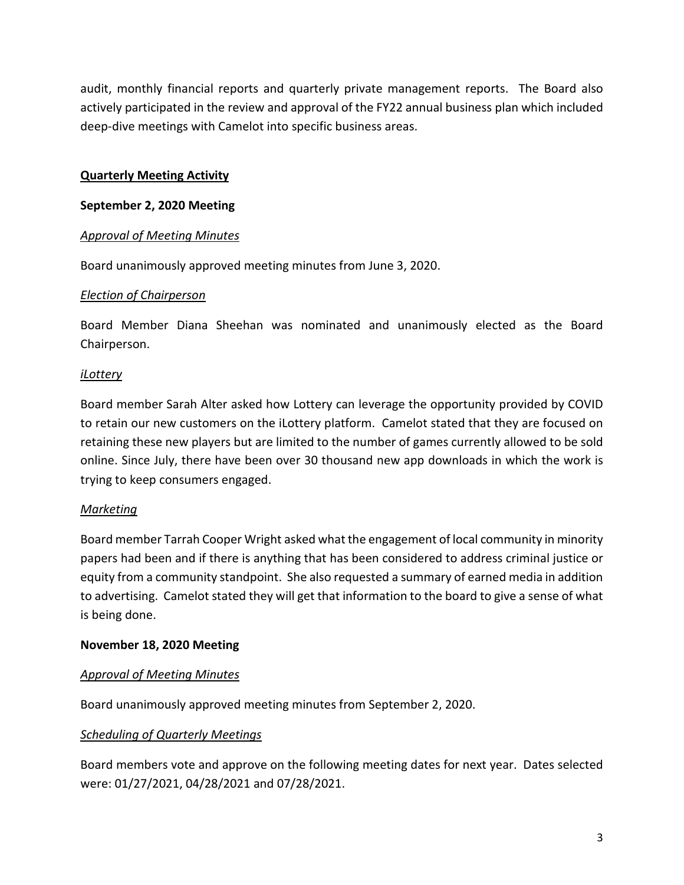audit, monthly financial reports and quarterly private management reports. The Board also actively participated in the review and approval of the FY22 annual business plan which included deep-dive meetings with Camelot into specific business areas.

# **Quarterly Meeting Activity**

## **September 2, 2020 Meeting**

## *Approval of Meeting Minutes*

Board unanimously approved meeting minutes from June 3, 2020.

## *Election of Chairperson*

Board Member Diana Sheehan was nominated and unanimously elected as the Board Chairperson.

## *iLottery*

Board member Sarah Alter asked how Lottery can leverage the opportunity provided by COVID to retain our new customers on the iLottery platform. Camelot stated that they are focused on retaining these new players but are limited to the number of games currently allowed to be sold online. Since July, there have been over 30 thousand new app downloads in which the work is trying to keep consumers engaged.

# *Marketing*

Board member Tarrah Cooper Wright asked what the engagement of local community in minority papers had been and if there is anything that has been considered to address criminal justice or equity from a community standpoint. She also requested a summary of earned media in addition to advertising. Camelot stated they will get that information to the board to give a sense of what is being done.

## **November 18, 2020 Meeting**

## *Approval of Meeting Minutes*

Board unanimously approved meeting minutes from September 2, 2020.

## *Scheduling of Quarterly Meetings*

Board members vote and approve on the following meeting dates for next year. Dates selected were: 01/27/2021, 04/28/2021 and 07/28/2021.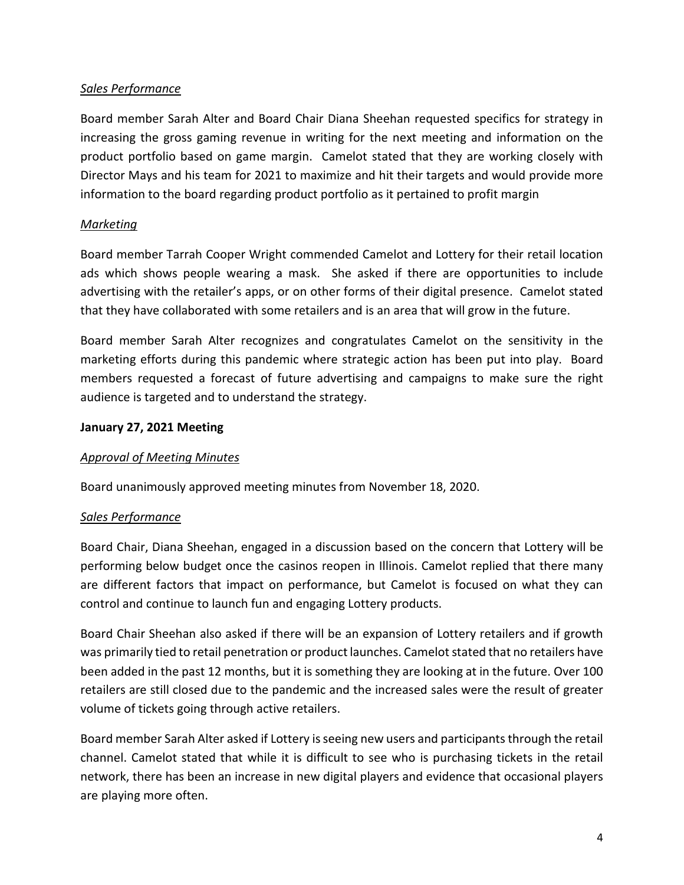# *Sales Performance*

Board member Sarah Alter and Board Chair Diana Sheehan requested specifics for strategy in increasing the gross gaming revenue in writing for the next meeting and information on the product portfolio based on game margin. Camelot stated that they are working closely with Director Mays and his team for 2021 to maximize and hit their targets and would provide more information to the board regarding product portfolio as it pertained to profit margin

## *Marketing*

Board member Tarrah Cooper Wright commended Camelot and Lottery for their retail location ads which shows people wearing a mask. She asked if there are opportunities to include advertising with the retailer's apps, or on other forms of their digital presence. Camelot stated that they have collaborated with some retailers and is an area that will grow in the future.

Board member Sarah Alter recognizes and congratulates Camelot on the sensitivity in the marketing efforts during this pandemic where strategic action has been put into play. Board members requested a forecast of future advertising and campaigns to make sure the right audience is targeted and to understand the strategy.

## **January 27, 2021 Meeting**

# *Approval of Meeting Minutes*

Board unanimously approved meeting minutes from November 18, 2020.

## *Sales Performance*

Board Chair, Diana Sheehan, engaged in a discussion based on the concern that Lottery will be performing below budget once the casinos reopen in Illinois. Camelot replied that there many are different factors that impact on performance, but Camelot is focused on what they can control and continue to launch fun and engaging Lottery products.

Board Chair Sheehan also asked if there will be an expansion of Lottery retailers and if growth was primarily tied to retail penetration or product launches. Camelot stated that no retailers have been added in the past 12 months, but it is something they are looking at in the future. Over 100 retailers are still closed due to the pandemic and the increased sales were the result of greater volume of tickets going through active retailers.

Board member Sarah Alter asked if Lottery is seeing new users and participantsthrough the retail channel. Camelot stated that while it is difficult to see who is purchasing tickets in the retail network, there has been an increase in new digital players and evidence that occasional players are playing more often.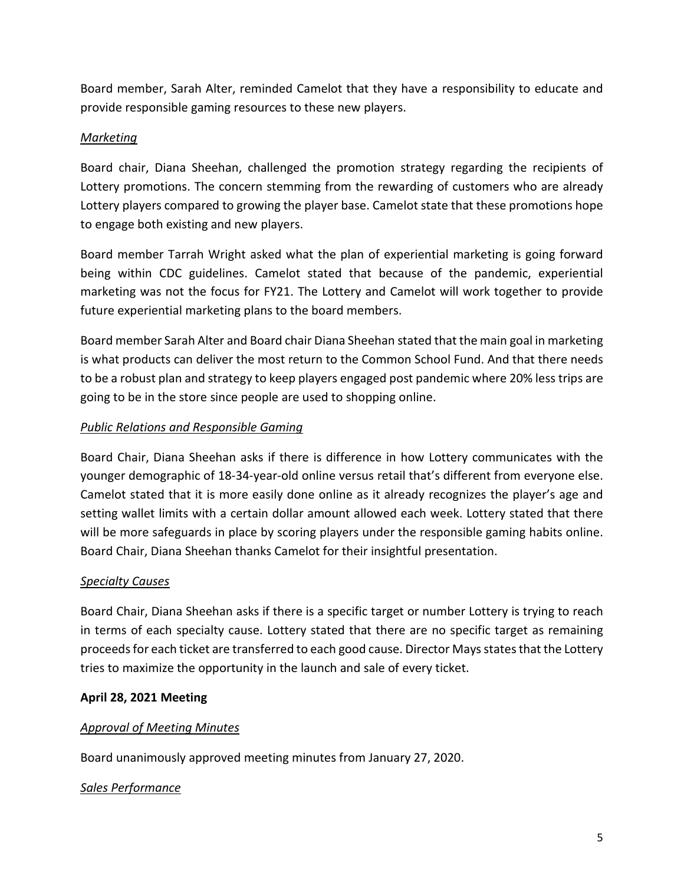Board member, Sarah Alter, reminded Camelot that they have a responsibility to educate and provide responsible gaming resources to these new players.

# *Marketing*

Board chair, Diana Sheehan, challenged the promotion strategy regarding the recipients of Lottery promotions. The concern stemming from the rewarding of customers who are already Lottery players compared to growing the player base. Camelot state that these promotions hope to engage both existing and new players.

Board member Tarrah Wright asked what the plan of experiential marketing is going forward being within CDC guidelines. Camelot stated that because of the pandemic, experiential marketing was not the focus for FY21. The Lottery and Camelot will work together to provide future experiential marketing plans to the board members.

Board member Sarah Alter and Board chair Diana Sheehan stated that the main goal in marketing is what products can deliver the most return to the Common School Fund. And that there needs to be a robust plan and strategy to keep players engaged post pandemic where 20% less trips are going to be in the store since people are used to shopping online.

# *Public Relations and Responsible Gaming*

Board Chair, Diana Sheehan asks if there is difference in how Lottery communicates with the younger demographic of 18-34-year-old online versus retail that's different from everyone else. Camelot stated that it is more easily done online as it already recognizes the player's age and setting wallet limits with a certain dollar amount allowed each week. Lottery stated that there will be more safeguards in place by scoring players under the responsible gaming habits online. Board Chair, Diana Sheehan thanks Camelot for their insightful presentation.

# *Specialty Causes*

Board Chair, Diana Sheehan asks if there is a specific target or number Lottery is trying to reach in terms of each specialty cause. Lottery stated that there are no specific target as remaining proceeds for each ticket are transferred to each good cause. Director Mays states that the Lottery tries to maximize the opportunity in the launch and sale of every ticket.

# **April 28, 2021 Meeting**

## *Approval of Meeting Minutes*

Board unanimously approved meeting minutes from January 27, 2020.

## *Sales Performance*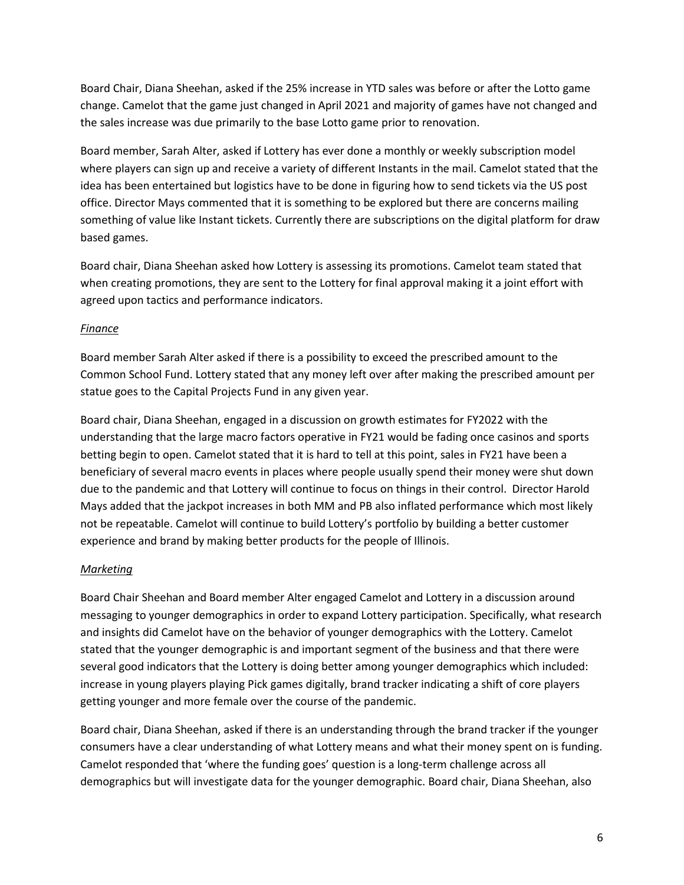Board Chair, Diana Sheehan, asked if the 25% increase in YTD sales was before or after the Lotto game change. Camelot that the game just changed in April 2021 and majority of games have not changed and the sales increase was due primarily to the base Lotto game prior to renovation.

Board member, Sarah Alter, asked if Lottery has ever done a monthly or weekly subscription model where players can sign up and receive a variety of different Instants in the mail. Camelot stated that the idea has been entertained but logistics have to be done in figuring how to send tickets via the US post office. Director Mays commented that it is something to be explored but there are concerns mailing something of value like Instant tickets. Currently there are subscriptions on the digital platform for draw based games.

Board chair, Diana Sheehan asked how Lottery is assessing its promotions. Camelot team stated that when creating promotions, they are sent to the Lottery for final approval making it a joint effort with agreed upon tactics and performance indicators.

## *Finance*

Board member Sarah Alter asked if there is a possibility to exceed the prescribed amount to the Common School Fund. Lottery stated that any money left over after making the prescribed amount per statue goes to the Capital Projects Fund in any given year.

Board chair, Diana Sheehan, engaged in a discussion on growth estimates for FY2022 with the understanding that the large macro factors operative in FY21 would be fading once casinos and sports betting begin to open. Camelot stated that it is hard to tell at this point, sales in FY21 have been a beneficiary of several macro events in places where people usually spend their money were shut down due to the pandemic and that Lottery will continue to focus on things in their control. Director Harold Mays added that the jackpot increases in both MM and PB also inflated performance which most likely not be repeatable. Camelot will continue to build Lottery's portfolio by building a better customer experience and brand by making better products for the people of Illinois.

## *Marketing*

Board Chair Sheehan and Board member Alter engaged Camelot and Lottery in a discussion around messaging to younger demographics in order to expand Lottery participation. Specifically, what research and insights did Camelot have on the behavior of younger demographics with the Lottery. Camelot stated that the younger demographic is and important segment of the business and that there were several good indicators that the Lottery is doing better among younger demographics which included: increase in young players playing Pick games digitally, brand tracker indicating a shift of core players getting younger and more female over the course of the pandemic.

Board chair, Diana Sheehan, asked if there is an understanding through the brand tracker if the younger consumers have a clear understanding of what Lottery means and what their money spent on is funding. Camelot responded that 'where the funding goes' question is a long-term challenge across all demographics but will investigate data for the younger demographic. Board chair, Diana Sheehan, also